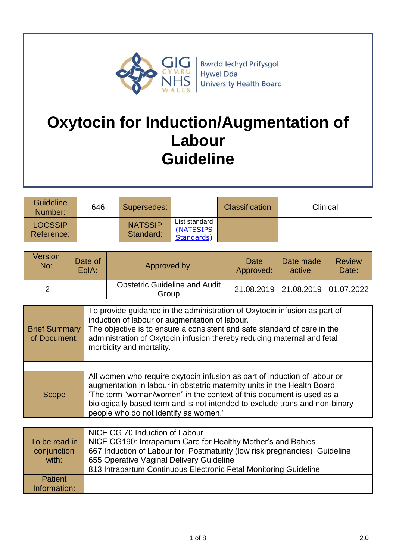

**Bwrdd lechyd Prifysgol** Hywel Dda University Health Board

# **Oxytocin for Induction/Augmentation of Labour Guideline**

| <b>Guideline</b><br>Number:  | 646              | Supersedes:                                   |                                          | <b>Classification</b> |                      | Clinical               |
|------------------------------|------------------|-----------------------------------------------|------------------------------------------|-----------------------|----------------------|------------------------|
| <b>LOCSSIP</b><br>Reference: |                  | <b>NATSSIP</b><br>Standard:                   | List standard<br>(NATSSIPS<br>Standards) |                       |                      |                        |
|                              |                  |                                               |                                          |                       |                      |                        |
| <b>Version</b><br>No:        | Date of<br>EqIA: | Approved by:                                  |                                          | Date<br>Approved:     | Date made<br>active: | <b>Review</b><br>Date: |
| 2                            |                  | <b>Obstetric Guideline and Audit</b><br>Group |                                          | 21.08.2019            | 21.08.2019           | 01.07.2022             |

| <b>Brief Summary</b><br>of Document: | To provide guidance in the administration of Oxytocin infusion as part of<br>induction of labour or augmentation of labour.<br>The objective is to ensure a consistent and safe standard of care in the<br>administration of Oxytocin infusion thereby reducing maternal and fetal<br>morbidity and mortality.                                        |
|--------------------------------------|-------------------------------------------------------------------------------------------------------------------------------------------------------------------------------------------------------------------------------------------------------------------------------------------------------------------------------------------------------|
|                                      |                                                                                                                                                                                                                                                                                                                                                       |
| Scope                                | All women who require oxytocin infusion as part of induction of labour or<br>augmentation in labour in obstetric maternity units in the Health Board.<br>'The term "woman/women" in the context of this document is used as a<br>biologically based term and is not intended to exclude trans and non-binary<br>people who do not identify as women.' |

| To be read in<br>conjunction<br>with: | NICE CG 70 Induction of Labour<br>NICE CG190: Intrapartum Care for Healthy Mother's and Babies<br>667 Induction of Labour for Postmaturity (low risk pregnancies) Guideline<br>655 Operative Vaginal Delivery Guideline<br>813 Intrapartum Continuous Electronic Fetal Monitoring Guideline |
|---------------------------------------|---------------------------------------------------------------------------------------------------------------------------------------------------------------------------------------------------------------------------------------------------------------------------------------------|
| Patient<br>Information:               |                                                                                                                                                                                                                                                                                             |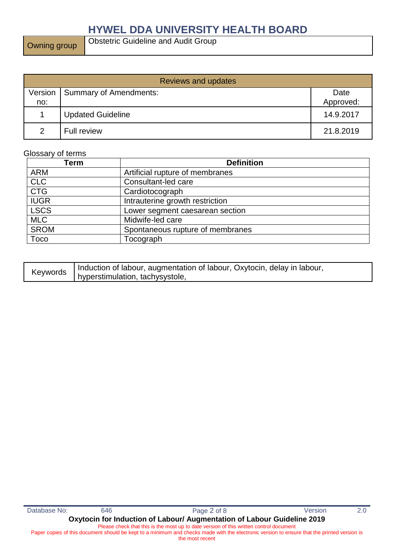Owning group

| <b>Reviews and updates</b> |                          |                   |  |
|----------------------------|--------------------------|-------------------|--|
| Version<br>no:             | Summary of Amendments:   | Date<br>Approved: |  |
|                            | <b>Updated Guideline</b> | 14.9.2017         |  |
| $\mathcal{P}$              | <b>Full review</b>       | 21.8.2019         |  |

#### Glossary of terms

| Term        | <b>Definition</b>                |
|-------------|----------------------------------|
| <b>ARM</b>  | Artificial rupture of membranes  |
| <b>CLC</b>  | Consultant-led care              |
| <b>CTG</b>  | Cardiotocograph                  |
| <b>IUGR</b> | Intrauterine growth restriction  |
| <b>LSCS</b> | Lower segment caesarean section  |
| <b>MLC</b>  | Midwife-led care                 |
| <b>SROM</b> | Spontaneous rupture of membranes |
| <b>Toco</b> | Tocograph                        |

| Keywords | Induction of labour, augmentation of labour, Oxytocin, delay in labour, |
|----------|-------------------------------------------------------------------------|
|          | hyperstimulation, tachysystole,                                         |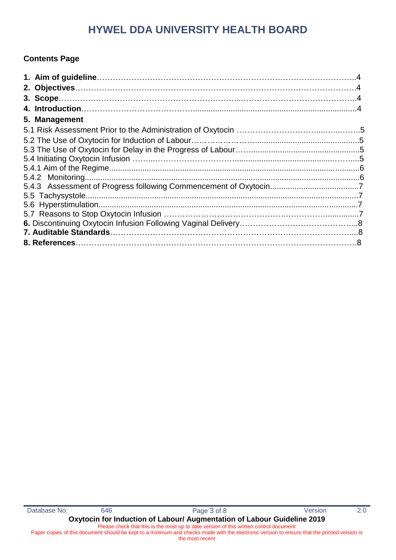### **Contents Page**

| 5. Management |  |
|---------------|--|
|               |  |
|               |  |
|               |  |
|               |  |
|               |  |
|               |  |
|               |  |
|               |  |
|               |  |
|               |  |
|               |  |
|               |  |
|               |  |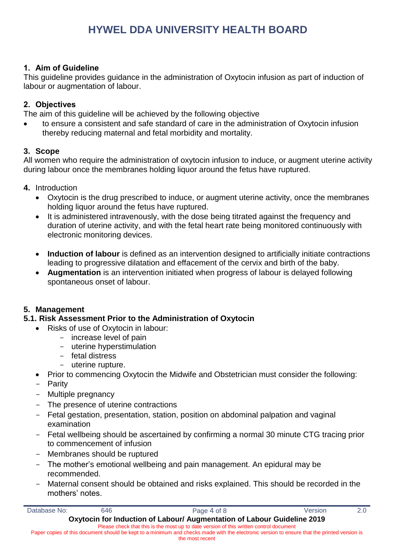#### **1. Aim of Guideline**

This guideline provides guidance in the administration of Oxytocin infusion as part of induction of labour or augmentation of labour.

### **2. Objectives**

The aim of this guideline will be achieved by the following objective

 to ensure a consistent and safe standard of care in the administration of Oxytocin infusion thereby reducing maternal and fetal morbidity and mortality.

#### **3. Scope**

All women who require the administration of oxytocin infusion to induce, or augment uterine activity during labour once the membranes holding liquor around the fetus have ruptured.

- **4.** Introduction
	- Oxytocin is the drug prescribed to induce, or augment uterine activity, once the membranes holding liquor around the fetus have ruptured.
	- It is administered intravenously, with the dose being titrated against the frequency and duration of uterine activity, and with the fetal heart rate being monitored continuously with electronic monitoring devices.
	- **Induction of labour** is defined as an intervention designed to artificially initiate contractions leading to progressive dilatation and effacement of the cervix and birth of the baby.
	- **Augmentation** is an intervention initiated when progress of labour is delayed following spontaneous onset of labour.

### **5. Management**

### **5.1. Risk Assessment Prior to the Administration of Oxytocin**

- Risks of use of Oxytocin in labour:
	- increase level of pain
	- uterine hyperstimulation
	- fetal distress
	- uterine rupture.
- Prior to commencing Oxytocin the Midwife and Obstetrician must consider the following:
- Parity
- Multiple pregnancy
- The presence of uterine contractions
- Fetal gestation, presentation, station, position on abdominal palpation and vaginal examination
- Fetal wellbeing should be ascertained by confirming a normal 30 minute CTG tracing prior to commencement of infusion
- Membranes should be ruptured
- The mother's emotional wellbeing and pain management. An epidural may be recommended.
- Maternal consent should be obtained and risks explained. This should be recorded in the mothers' notes.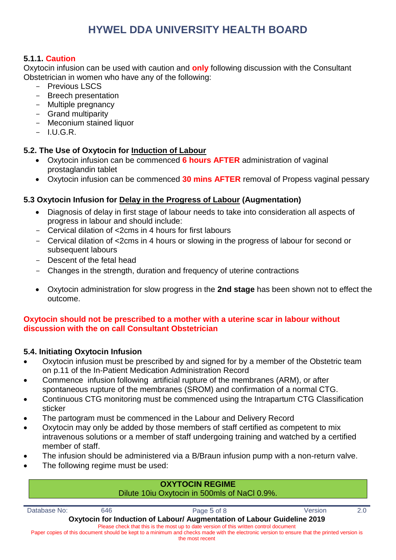### **5.1.1. Caution**

Oxytocin infusion can be used with caution and **only** following discussion with the Consultant Obstetrician in women who have any of the following:

- Previous LSCS
- Breech presentation
- Multiple pregnancy
- Grand multiparity
- Meconium stained liquor
- I.U.G.R.

### **5.2. The Use of Oxytocin for Induction of Labour**

- Oxytocin infusion can be commenced **6 hours AFTER** administration of vaginal prostaglandin tablet
- Oxytocin infusion can be commenced **30 mins AFTER** removal of Propess vaginal pessary

### **5.3 Oxytocin Infusion for Delay in the Progress of Labour (Augmentation)**

- Diagnosis of delay in first stage of labour needs to take into consideration all aspects of progress in labour and should include:
- Cervical dilation of <2cms in 4 hours for first labours
- Cervical dilation of <2cms in 4 hours or slowing in the progress of labour for second or subsequent labours
- Descent of the fetal head
- Changes in the strength, duration and frequency of uterine contractions
- Oxytocin administration for slow progress in the **2nd stage** has been shown not to effect the outcome.

#### **Oxytocin should not be prescribed to a mother with a uterine scar in labour without discussion with the on call Consultant Obstetrician**

### **5.4. Initiating Oxytocin Infusion**

- Oxytocin infusion must be prescribed by and signed for by a member of the Obstetric team on p.11 of the In-Patient Medication Administration Record
- Commence infusion following artificial rupture of the membranes (ARM), or after spontaneous rupture of the membranes (SROM) and confirmation of a normal CTG.
- Continuous CTG monitoring must be commenced using the Intrapartum CTG Classification sticker
- The partogram must be commenced in the Labour and Delivery Record
- Oxytocin may only be added by those members of staff certified as competent to mix intravenous solutions or a member of staff undergoing training and watched by a certified member of staff.
- The infusion should be administered via a B/Braun infusion pump with a non-return valve.
- The following regime must be used:

F

|              |     | <b>UAT I UGIN REGIME</b><br>Dilute 10iu Oxytocin in 500mls of NaCl 0.9%.                                                                    |         |     |
|--------------|-----|---------------------------------------------------------------------------------------------------------------------------------------------|---------|-----|
| Database No: | 646 | Page 5 of 8                                                                                                                                 | Version | 2 O |
|              |     | Oxytocin for Induction of Labour/ Augmentation of Labour Guideline 2019                                                                     |         |     |
|              |     | Please check that this is the most up to date version of this written control document                                                      |         |     |
|              |     | Paper copies of this document should be kept to a minimum and checks made with the electronic version to ensure that the printed version is |         |     |
|              |     | the most recent                                                                                                                             |         |     |

**OXYTOCIN REGIME**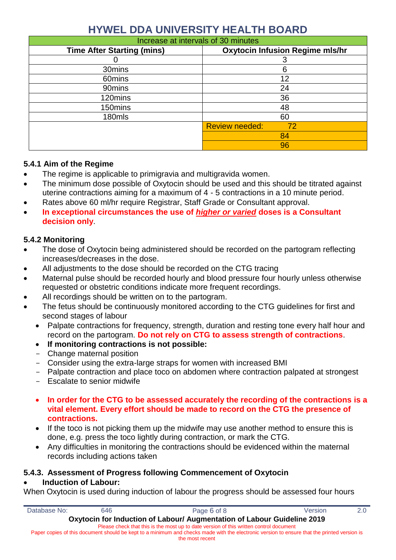| Increase at intervals of 30 minutes |                                        |  |  |  |
|-------------------------------------|----------------------------------------|--|--|--|
| <b>Time After Starting (mins)</b>   | <b>Oxytocin Infusion Regime mls/hr</b> |  |  |  |
|                                     |                                        |  |  |  |
| 30mins                              | 6                                      |  |  |  |
| 60mins                              | 12                                     |  |  |  |
| 90mins                              | 24                                     |  |  |  |
| 120mins                             | 36                                     |  |  |  |
| 150mins                             | 48                                     |  |  |  |
| 180mls                              | 60                                     |  |  |  |
|                                     | <b>Review needed:</b><br>72            |  |  |  |
|                                     | 84                                     |  |  |  |
|                                     | 96                                     |  |  |  |

### **5.4.1 Aim of the Regime**

- The regime is applicable to primigravia and multigravida women.
- The minimum dose possible of Oxytocin should be used and this should be titrated against uterine contractions aiming for a maximum of 4 - 5 contractions in a 10 minute period.
- Rates above 60 ml/hr require Registrar, Staff Grade or Consultant approval.
- **In exceptional circumstances the use of** *higher or varied* **doses is a Consultant decision only**.

### **5.4.2 Monitoring**

- The dose of Oxytocin being administered should be recorded on the partogram reflecting increases/decreases in the dose.
- All adjustments to the dose should be recorded on the CTG tracing
- Maternal pulse should be recorded hourly and blood pressure four hourly unless otherwise requested or obstetric conditions indicate more frequent recordings.
- All recordings should be written on to the partogram.
- The fetus should be continuously monitored according to the CTG guidelines for first and second stages of labour
	- Palpate contractions for frequency, strength, duration and resting tone every half hour and record on the partogram. **Do not rely on CTG to assess strength of contractions**.
	- **If monitoring contractions is not possible:**
	- Change maternal position
	- Consider using the extra-large straps for women with increased BMI
	- Palpate contraction and place toco on abdomen where contraction palpated at strongest
	- Escalate to senior midwife
	- **In order for the CTG to be assessed accurately the recording of the contractions is a vital element. Every effort should be made to record on the CTG the presence of contractions.**
	- If the toco is not picking them up the midwife may use another method to ensure this is done, e.g. press the toco lightly during contraction, or mark the CTG.
	- Any difficulties in monitoring the contractions should be evidenced within the maternal records including actions taken

### **5.4.3. Assessment of Progress following Commencement of Oxytocin**

### **Induction of Labour:**

When Oxytocin is used during induction of labour the progress should be assessed four hours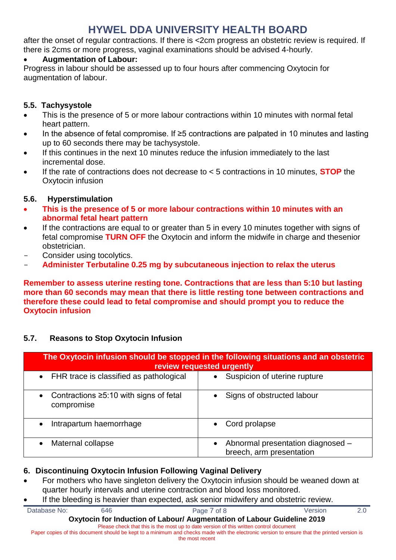after the onset of regular contractions. If there is <2cm progress an obstetric review is required. If there is 2cms or more progress, vaginal examinations should be advised 4-hourly.

### **Augmentation of Labour:**

Progress in labour should be assessed up to four hours after commencing Oxytocin for augmentation of labour.

### **5.5. Tachysystole**

- This is the presence of 5 or more labour contractions within 10 minutes with normal fetal heart pattern.
- In the absence of fetal compromise. If ≥5 contractions are palpated in 10 minutes and lasting up to 60 seconds there may be tachysystole.
- If this continues in the next 10 minutes reduce the infusion immediately to the last incremental dose.
- If the rate of contractions does not decrease to < 5 contractions in 10 minutes, **STOP** the Oxytocin infusion

### **5.6. Hyperstimulation**

- **This is the presence of 5 or more labour contractions within 10 minutes with an abnormal fetal heart pattern**
- If the contractions are equal to or greater than 5 in every 10 minutes together with signs of fetal compromise **TURN OFF** the Oxytocin and inform the midwife in charge and thesenior obstetrician.
- Consider using tocolytics.
- **Administer Terbutaline 0.25 mg by subcutaneous injection to relax the uterus**

**Remember to assess uterine resting tone. Contractions that are less than 5:10 but lasting more than 60 seconds may mean that there is little resting tone between contractions and therefore these could lead to fetal compromise and should prompt you to reduce the Oxytocin infusion**

### **5.7. Reasons to Stop Oxytocin Infusion**

| The Oxytocin infusion should be stopped in the following situations and an obstetric<br>review requested urgently |                                                               |  |  |
|-------------------------------------------------------------------------------------------------------------------|---------------------------------------------------------------|--|--|
| FHR trace is classified as pathological<br>$\bullet$                                                              | Suspicion of uterine rupture                                  |  |  |
| Contractions ≥5:10 with signs of fetal<br>$\bullet$<br>compromise                                                 | Signs of obstructed labour                                    |  |  |
| Intrapartum haemorrhage<br>$\bullet$                                                                              | Cord prolapse                                                 |  |  |
| Maternal collapse                                                                                                 | Abnormal presentation diagnosed -<br>breech, arm presentation |  |  |

### **6. Discontinuing Oxytocin Infusion Following Vaginal Delivery**

- For mothers who have singleton delivery the Oxytocin infusion should be weaned down at quarter hourly intervals and uterine contraction and blood loss monitored.
- If the bleeding is heavier than expected, ask senior midwifery and obstetric review.